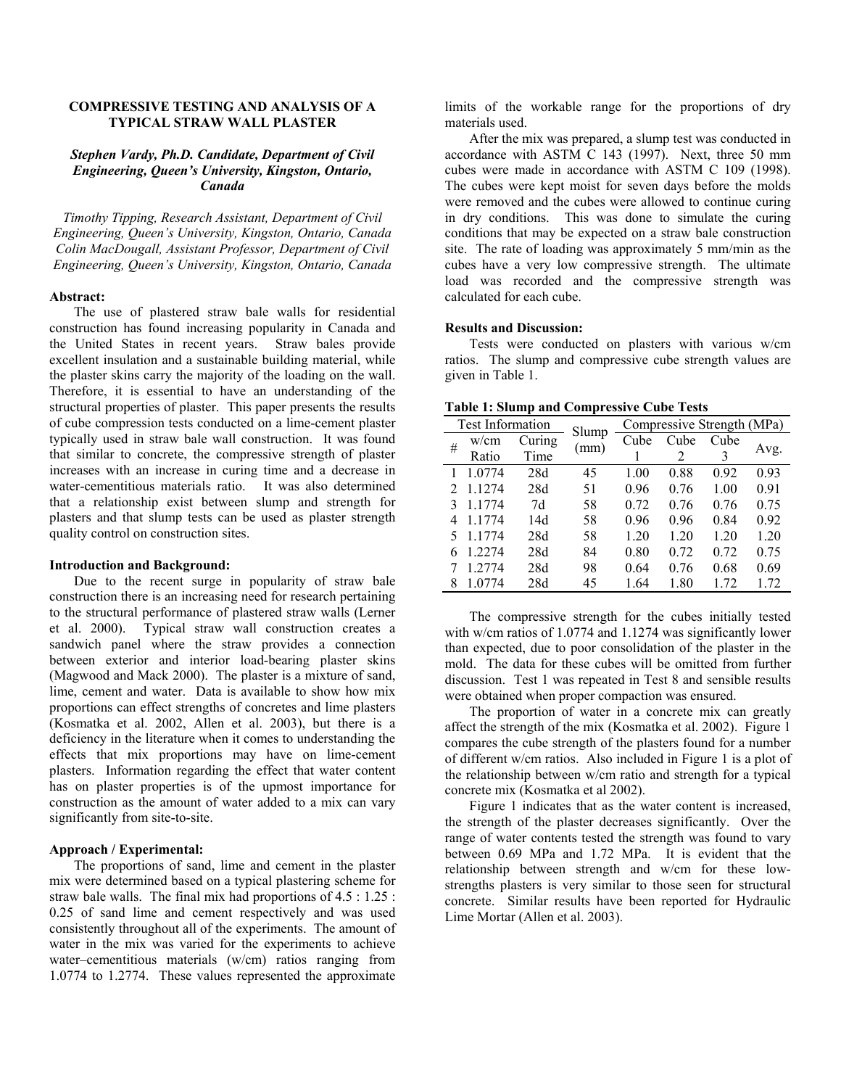# **COMPRESSIVE TESTING AND ANALYSIS OF A TYPICAL STRAW WALL PLASTER**

# *Stephen Vardy, Ph.D. Candidate, Department of Civil Engineering, Queen's University, Kingston, Ontario, Canada*

*Timothy Tipping, Research Assistant, Department of Civil Engineering, Queen's University, Kingston, Ontario, Canada Colin MacDougall, Assistant Professor, Department of Civil Engineering, Queen's University, Kingston, Ontario, Canada* 

### **Abstract:**

The use of plastered straw bale walls for residential construction has found increasing popularity in Canada and the United States in recent years. Straw bales provide excellent insulation and a sustainable building material, while the plaster skins carry the majority of the loading on the wall. Therefore, it is essential to have an understanding of the structural properties of plaster. This paper presents the results of cube compression tests conducted on a lime-cement plaster typically used in straw bale wall construction. It was found that similar to concrete, the compressive strength of plaster increases with an increase in curing time and a decrease in water-cementitious materials ratio. It was also determined that a relationship exist between slump and strength for plasters and that slump tests can be used as plaster strength quality control on construction sites.

### **Introduction and Background:**

Due to the recent surge in popularity of straw bale construction there is an increasing need for research pertaining to the structural performance of plastered straw walls (Lerner et al. 2000). Typical straw wall construction creates a sandwich panel where the straw provides a connection between exterior and interior load-bearing plaster skins (Magwood and Mack 2000). The plaster is a mixture of sand, lime, cement and water. Data is available to show how mix proportions can effect strengths of concretes and lime plasters (Kosmatka et al. 2002, Allen et al. 2003), but there is a deficiency in the literature when it comes to understanding the effects that mix proportions may have on lime-cement plasters. Information regarding the effect that water content has on plaster properties is of the upmost importance for construction as the amount of water added to a mix can vary significantly from site-to-site.

# **Approach / Experimental:**

The proportions of sand, lime and cement in the plaster mix were determined based on a typical plastering scheme for straw bale walls. The final mix had proportions of 4.5 : 1.25 : 0.25 of sand lime and cement respectively and was used consistently throughout all of the experiments. The amount of water in the mix was varied for the experiments to achieve water–cementitious materials (w/cm) ratios ranging from 1.0774 to 1.2774. These values represented the approximate

limits of the workable range for the proportions of dry materials used.

After the mix was prepared, a slump test was conducted in accordance with ASTM C 143 (1997). Next, three 50 mm cubes were made in accordance with ASTM C 109 (1998). The cubes were kept moist for seven days before the molds were removed and the cubes were allowed to continue curing in dry conditions. This was done to simulate the curing conditions that may be expected on a straw bale construction site. The rate of loading was approximately 5 mm/min as the cubes have a very low compressive strength. The ultimate load was recorded and the compressive strength was calculated for each cube.

### **Results and Discussion:**

Tests were conducted on plasters with various w/cm ratios. The slump and compressive cube strength values are given in Table 1.

|  |  |  |  |  | <b>Table 1: Slump and Compressive Cube Tests</b> |  |  |
|--|--|--|--|--|--------------------------------------------------|--|--|
|--|--|--|--|--|--------------------------------------------------|--|--|

| <b>Test Information</b> |          |        | Slump | Compressive Strength (MPa) |      |      |      |  |
|-------------------------|----------|--------|-------|----------------------------|------|------|------|--|
| #                       | w/cm     | Curing | (mm)  | Cube                       | Cube | Cube | Avg. |  |
|                         | Ratio    | Time   |       |                            |      | 3    |      |  |
|                         | 1.0774   | 28d    | 45    | 1.00                       | 0.88 | 0.92 | 0.93 |  |
|                         | 1.1274   | 28d    | 51    | 0.96                       | 0.76 | 1.00 | 0.91 |  |
|                         | 1.1774   | 7d     | 58    | 0.72                       | 0.76 | 0.76 | 0.75 |  |
| 4                       | 1.1774   | 14d    | 58    | 0.96                       | 0.96 | 0.84 | 0.92 |  |
|                         | 5 1.1774 | 28d    | 58    | 1.20                       | 1.20 | 1.20 | 1.20 |  |
| 6                       | 1.2274   | 28d    | 84    | 0.80                       | 0.72 | 0.72 | 0.75 |  |
|                         | 1.2774   | 28d    | 98    | 0.64                       | 0.76 | 0.68 | 0.69 |  |
| 8                       | 1.0774   | 28d    | 45    | 1.64                       | 1.80 | 1.72 | 1.72 |  |

The compressive strength for the cubes initially tested with w/cm ratios of 1.0774 and 1.1274 was significantly lower than expected, due to poor consolidation of the plaster in the mold. The data for these cubes will be omitted from further discussion. Test 1 was repeated in Test 8 and sensible results were obtained when proper compaction was ensured.

The proportion of water in a concrete mix can greatly affect the strength of the mix (Kosmatka et al. 2002). Figure 1 compares the cube strength of the plasters found for a number of different w/cm ratios. Also included in Figure 1 is a plot of the relationship between w/cm ratio and strength for a typical concrete mix (Kosmatka et al 2002).

Figure 1 indicates that as the water content is increased, the strength of the plaster decreases significantly. Over the range of water contents tested the strength was found to vary between 0.69 MPa and 1.72 MPa. It is evident that the relationship between strength and w/cm for these lowstrengths plasters is very similar to those seen for structural concrete. Similar results have been reported for Hydraulic Lime Mortar (Allen et al. 2003).